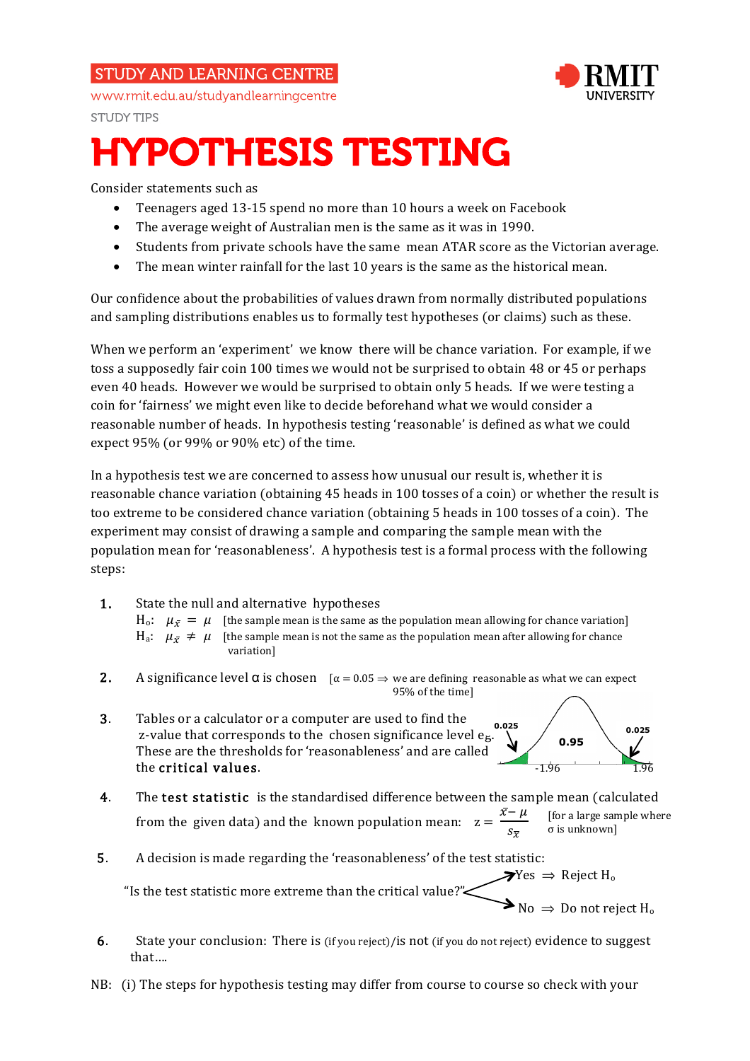## **STUDY AND LEARNING CENTRE**



www.rmit.edu.au/studyandlearningcentre

**STUDY TIPS** 

# HYPOTHESIS TESTING

Consider statements such as

- Teenagers aged 13-15 spend no more than 10 hours a week on Facebook
- The average weight of Australian men is the same as it was in 1990.
- Students from private schools have the same mean ATAR score as the Victorian average.
- The mean winter rainfall for the last 10 years is the same as the historical mean.

Our confidence about the probabilities of values drawn from normally distributed populations and sampling distributions enables us to formally test hypotheses (or claims) such as these.

When we perform an 'experiment' we know there will be chance variation. For example, if we toss a supposedly fair coin 100 times we would not be surprised to obtain 48 or 45 or perhaps even 40 heads. However we would be surprised to obtain only 5 heads. If we were testing a coin for 'fairness' we might even like to decide beforehand what we would consider a reasonable number of heads. In hypothesis testing 'reasonable' is defined as what we could expect 95% (or 99% or 90% etc) of the time.

In a hypothesis test we are concerned to assess how unusual our result is, whether it is reasonable chance variation (obtaining 45 heads in 100 tosses of a coin) or whether the result is too extreme to be considered chance variation (obtaining 5 heads in 100 tosses of a coin). The experiment may consist of drawing a sample and comparing the sample mean with the population mean for 'reasonableness'. A hypothesis test is a formal process with the following steps:

1. State the null and alternative hypotheses

 $H_0$ :  $\mu_{\bar{x}} = \mu$  [the sample mean is the same as the population mean allowing for chance variation] H<sub>a</sub>:  $\mu_{\bar{x}} \neq \mu$  [the sample mean is not the same as the population mean after allowing for chance variation]

- **2.** A significance level  $\alpha$  is chosen  $\alpha = 0.05 \Rightarrow$  we are defining reasonable as what we can expect 95% of the time]
- 3. Tables or a calculator or a computer are used to find the z-value that corresponds to the chosen significance level eg. These are the thresholds for 'reasonableness' and are called the critical values.  $\overline{1.96}$



- 4. The test statistic is the standardised difference between the sample mean (calculated from the given data) and the known population mean:  $z = \frac{\bar{x} - \mu}{\sigma}$  $\frac{r}{s_{\overline{x}}}$ [for a large sample where σ is unknown]
- 5. A decision is made regarding the 'reasonableness' of the test statistic:

 $\blacktriangleright$   $\blacktriangleright$  Yes  $\Rightarrow$  Reject H<sub>o</sub> "Is the test statistic more extreme than the critical value?"

 6. State your conclusion: There is (if you reject)/is not (if you do not reject) evidence to suggest that….

 $\triangleright$  No  $\Rightarrow$  Do not reject H<sub>o</sub>

NB: (i) The steps for hypothesis testing may differ from course to course so check with your